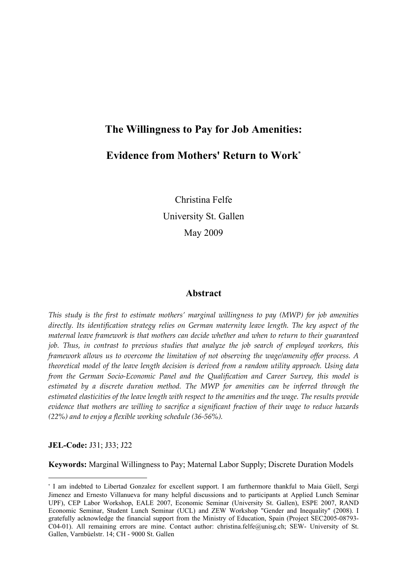# The Willingness to Pay for Job Amenities:

# Evidence from Mothers' Return to Work\*

Christina Felfe University St. Gallen May 2009

### Abstract

This study is the first to estimate mothers' marginal willingness to pay (MWP) for job amenities directly. Its identification strategy relies on German maternity leave length. The key aspect of the maternal leave framework is that mothers can decide whether and when to return to their guaranteed job. Thus, in contrast to previous studies that analyze the job search of employed workers, this framework allows us to overcome the limitation of not observing the wage/amenity offer process. A theoretical model of the leave length decision is derived from a random utility approach. Using data from the German Socio-Economic Panel and the Qualification and Career Survey, this model is estimated by a discrete duration method. The MWP for amenities can be inferred through the estimated elasticities of the leave length with respect to the amenities and the wage. The results provide evidence that mothers are willing to sacrifice a significant fraction of their wage to reduce hazards (22%) and to enjoy a flexible working schedule (36-56%).

JEL-Code: J31; J33; J22

L

Keywords: Marginal Willingness to Pay; Maternal Labor Supply; Discrete Duration Models

<sup>\*</sup> I am indebted to Libertad Gonzalez for excellent support. I am furthermore thankful to Maia Güell, Sergi Jimenez and Ernesto Villanueva for many helpful discussions and to participants at Applied Lunch Seminar UPF), CEP Labor Workshop, EALE 2007, Economic Seminar (University St. Gallen), ESPE 2007, RAND Economic Seminar, Student Lunch Seminar (UCL) and ZEW Workshop "Gender and Inequality" (2008). I gratefully acknowledge the financial support from the Ministry of Education, Spain (Project SEC2005-08793- C04-01). All remaining errors are mine. Contact author: christina.felfe@unisg.ch; SEW- University of St. Gallen, Varnbüelstr. 14; CH - 9000 St. Gallen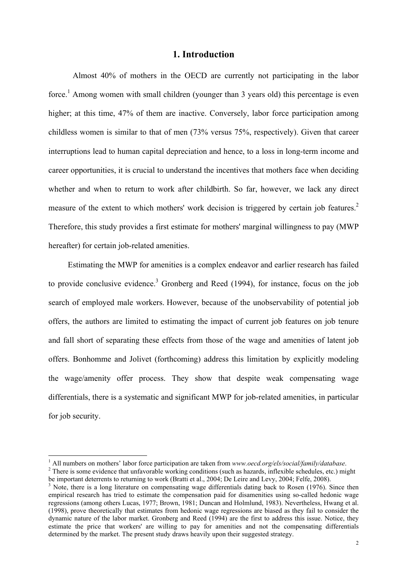# 1. Introduction

Almost 40% of mothers in the OECD are currently not participating in the labor force.<sup>1</sup> Among women with small children (younger than 3 years old) this percentage is even higher; at this time, 47% of them are inactive. Conversely, labor force participation among childless women is similar to that of men (73% versus 75%, respectively). Given that career interruptions lead to human capital depreciation and hence, to a loss in long-term income and career opportunities, it is crucial to understand the incentives that mothers face when deciding whether and when to return to work after childbirth. So far, however, we lack any direct measure of the extent to which mothers' work decision is triggered by certain job features.<sup>2</sup> Therefore, this study provides a first estimate for mothers' marginal willingness to pay (MWP hereafter) for certain job-related amenities.

Estimating the MWP for amenities is a complex endeavor and earlier research has failed to provide conclusive evidence.<sup>3</sup> Gronberg and Reed  $(1994)$ , for instance, focus on the job search of employed male workers. However, because of the unobservability of potential job offers, the authors are limited to estimating the impact of current job features on job tenure and fall short of separating these effects from those of the wage and amenities of latent job offers. Bonhomme and Jolivet (forthcoming) address this limitation by explicitly modeling the wage/amenity offer process. They show that despite weak compensating wage differentials, there is a systematic and significant MWP for job-related amenities, in particular for job security.

 $1$  All numbers on mothers' labor force participation are taken from www.oecd.org/els/social/family/database.

 $2$  There is some evidence that unfavorable working conditions (such as hazards, inflexible schedules, etc.) might be important deterrents to returning to work (Bratti et al., 2004; De Leire and Levy, 2004; Felfe, 2008).

<sup>&</sup>lt;sup>3</sup> Note, there is a long literature on compensating wage differentials dating back to Rosen (1976). Since then empirical research has tried to estimate the compensation paid for disamenities using so-called hedonic wage regressions (among others Lucas, 1977; Brown, 1981; Duncan and Holmlund, 1983). Nevertheless, Hwang et al. (1998), prove theoretically that estimates from hedonic wage regressions are biased as they fail to consider the dynamic nature of the labor market. Gronberg and Reed (1994) are the first to address this issue. Notice, they estimate the price that workers' are willing to pay for amenities and not the compensating differentials determined by the market. The present study draws heavily upon their suggested strategy.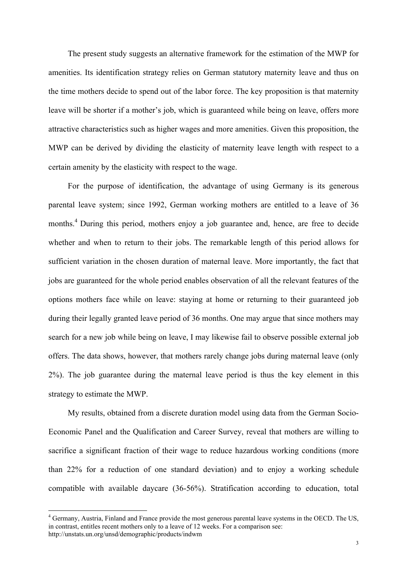The present study suggests an alternative framework for the estimation of the MWP for amenities. Its identification strategy relies on German statutory maternity leave and thus on the time mothers decide to spend out of the labor force. The key proposition is that maternity leave will be shorter if a mother's job, which is guaranteed while being on leave, offers more attractive characteristics such as higher wages and more amenities. Given this proposition, the MWP can be derived by dividing the elasticity of maternity leave length with respect to a certain amenity by the elasticity with respect to the wage.

For the purpose of identification, the advantage of using Germany is its generous parental leave system; since 1992, German working mothers are entitled to a leave of 36 months.<sup>4</sup> During this period, mothers enjoy a job guarantee and, hence, are free to decide whether and when to return to their jobs. The remarkable length of this period allows for sufficient variation in the chosen duration of maternal leave. More importantly, the fact that jobs are guaranteed for the whole period enables observation of all the relevant features of the options mothers face while on leave: staying at home or returning to their guaranteed job during their legally granted leave period of 36 months. One may argue that since mothers may search for a new job while being on leave, I may likewise fail to observe possible external job offers. The data shows, however, that mothers rarely change jobs during maternal leave (only 2%). The job guarantee during the maternal leave period is thus the key element in this strategy to estimate the MWP.

My results, obtained from a discrete duration model using data from the German Socio-Economic Panel and the Qualification and Career Survey, reveal that mothers are willing to sacrifice a significant fraction of their wage to reduce hazardous working conditions (more than 22% for a reduction of one standard deviation) and to enjoy a working schedule compatible with available daycare (36-56%). Stratification according to education, total

<sup>&</sup>lt;sup>4</sup> Germany, Austria, Finland and France provide the most generous parental leave systems in the OECD. The US, in contrast, entitles recent mothers only to a leave of 12 weeks. For a comparison see: http://unstats.un.org/unsd/demographic/products/indwm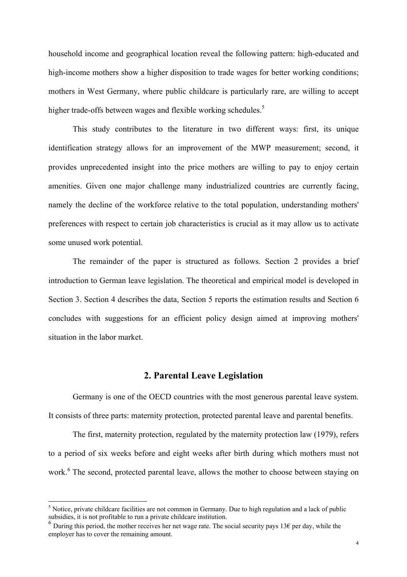household income and geographical location reveal the following pattern: high-educated and high-income mothers show a higher disposition to trade wages for better working conditions; mothers in West Germany, where public childcare is particularly rare, are willing to accept higher trade-offs between wages and flexible working schedules.<sup>5</sup>

This study contributes to the literature in two different ways: first, its unique identification strategy allows for an improvement of the MWP measurement; second, it provides unprecedented insight into the price mothers are willing to pay to enjoy certain amenities. Given one major challenge many industrialized countries are currently facing, namely the decline of the workforce relative to the total population, understanding mothers' preferences with respect to certain job characteristics is crucial as it may allow us to activate some unused work potential.

 The remainder of the paper is structured as follows. Section 2 provides a brief introduction to German leave legislation. The theoretical and empirical model is developed in Section 3. Section 4 describes the data, Section 5 reports the estimation results and Section 6 concludes with suggestions for an efficient policy design aimed at improving mothers' situation in the labor market.

# 2. Parental Leave Legislation

Germany is one of the OECD countries with the most generous parental leave system. It consists of three parts: maternity protection, protected parental leave and parental benefits.

 The first, maternity protection, regulated by the maternity protection law (1979), refers to a period of six weeks before and eight weeks after birth during which mothers must not work.<sup>6</sup> The second, protected parental leave, allows the mother to choose between staying on

<sup>&</sup>lt;sup>5</sup> Notice, private childcare facilities are not common in Germany. Due to high regulation and a lack of public subsidies, it is not profitable to run a private childcare institution.

<sup>&</sup>lt;sup>6</sup> During this period, the mother receives her net wage rate. The social security pays 13€ per day, while the employer has to cover the remaining amount.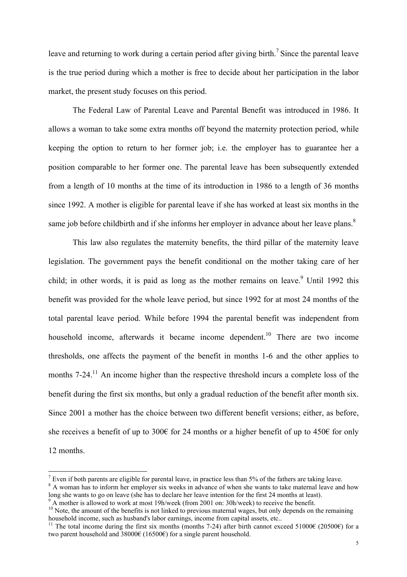leave and returning to work during a certain period after giving birth.<sup>7</sup> Since the parental leave is the true period during which a mother is free to decide about her participation in the labor market, the present study focuses on this period.

 The Federal Law of Parental Leave and Parental Benefit was introduced in 1986. It allows a woman to take some extra months off beyond the maternity protection period, while keeping the option to return to her former job; i.e. the employer has to guarantee her a position comparable to her former one. The parental leave has been subsequently extended from a length of 10 months at the time of its introduction in 1986 to a length of 36 months since 1992. A mother is eligible for parental leave if she has worked at least six months in the same job before childbirth and if she informs her employer in advance about her leave plans.<sup>8</sup>

This law also regulates the maternity benefits, the third pillar of the maternity leave legislation. The government pays the benefit conditional on the mother taking care of her child; in other words, it is paid as long as the mother remains on leave.<sup>9</sup> Until 1992 this benefit was provided for the whole leave period, but since 1992 for at most 24 months of the total parental leave period. While before 1994 the parental benefit was independent from household income, afterwards it became income dependent.<sup>10</sup> There are two income thresholds, one affects the payment of the benefit in months 1-6 and the other applies to months 7-24.<sup>11</sup> An income higher than the respective threshold incurs a complete loss of the benefit during the first six months, but only a gradual reduction of the benefit after month six. Since 2001 a mother has the choice between two different benefit versions; either, as before, she receives a benefit of up to 300€ for 24 months or a higher benefit of up to 450€ for only 12 months.

.

<sup>&</sup>lt;sup>7</sup> Even if both parents are eligible for parental leave, in practice less than 5% of the fathers are taking leave.

<sup>&</sup>lt;sup>8</sup> A woman has to inform her employer six weeks in advance of when she wants to take maternal leave and how long she wants to go on leave (she has to declare her leave intention for the first 24 months at least).

<sup>&</sup>lt;sup>9</sup> A mother is allowed to work at most 19h/week (from 2001 on: 30h/week) to receive the benefit.

<sup>&</sup>lt;sup>10</sup> Note, the amount of the benefits is not linked to previous maternal wages, but only depends on the remaining <sup>10</sup> household income, such as husband's labor earnings, income from capital assets, etc..

<sup>&</sup>lt;sup>11</sup> The total income during the first six months (months 7-24) after birth cannot exceed 51000€ (20500€) for a two parent household and  $38000 \in (16500 \in)$  for a single parent household.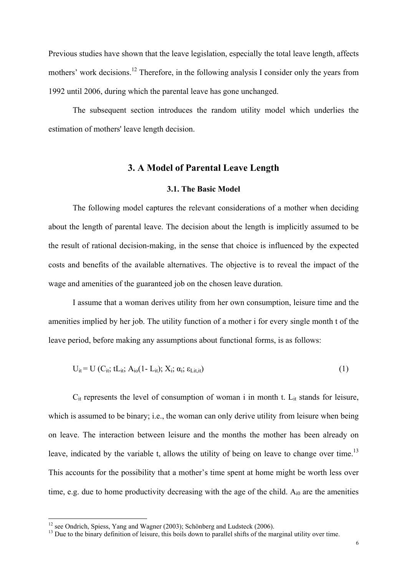Previous studies have shown that the leave legislation, especially the total leave length, affects mothers' work decisions.<sup>12</sup> Therefore, in the following analysis I consider only the years from 1992 until 2006, during which the parental leave has gone unchanged.

The subsequent section introduces the random utility model which underlies the estimation of mothers' leave length decision.

### 3. A Model of Parental Leave Length

#### 3.1. The Basic Model

 The following model captures the relevant considerations of a mother when deciding about the length of parental leave. The decision about the length is implicitly assumed to be the result of rational decision-making, in the sense that choice is influenced by the expected costs and benefits of the available alternatives. The objective is to reveal the impact of the wage and amenities of the guaranteed job on the chosen leave duration.

I assume that a woman derives utility from her own consumption, leisure time and the amenities implied by her job. The utility function of a mother i for every single month t of the leave period, before making any assumptions about functional forms, is as follows:

$$
U_{it} = U (C_{it}; tL_{it}; A_{i0}(1-L_{it}); X_i; \alpha_i; \varepsilon_{Lit, it})
$$
\n
$$
(1)
$$

 $C_{it}$  represents the level of consumption of woman i in month t.  $L_{it}$  stands for leisure, which is assumed to be binary; i.e., the woman can only derive utility from leisure when being on leave. The interaction between leisure and the months the mother has been already on leave, indicated by the variable t, allows the utility of being on leave to change over time.<sup>13</sup> This accounts for the possibility that a mother's time spent at home might be worth less over time, e.g. due to home productivity decreasing with the age of the child.  $A_{i0}$  are the amenities

.

 $12$  see Ondrich, Spiess, Yang and Wagner (2003); Schönberg and Ludsteck (2006).

<sup>&</sup>lt;sup>13</sup> Due to the binary definition of leisure, this boils down to parallel shifts of the marginal utility over time.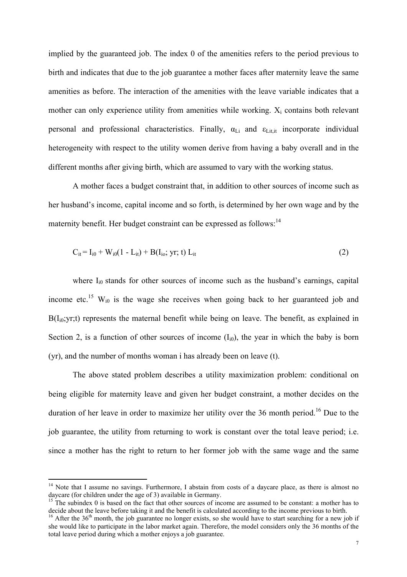implied by the guaranteed job. The index 0 of the amenities refers to the period previous to birth and indicates that due to the job guarantee a mother faces after maternity leave the same amenities as before. The interaction of the amenities with the leave variable indicates that a mother can only experience utility from amenities while working.  $X_i$  contains both relevant personal and professional characteristics. Finally,  $\alpha_{Li}$  and  $\varepsilon_{Li,ti}$  incorporate individual heterogeneity with respect to the utility women derive from having a baby overall and in the different months after giving birth, which are assumed to vary with the working status.

 A mother faces a budget constraint that, in addition to other sources of income such as her husband's income, capital income and so forth, is determined by her own wage and by the maternity benefit. Her budget constraint can be expressed as follows:<sup>14</sup>

$$
C_{it} = I_{i0} + W_{i0}(1 - L_{it}) + B(I_{io}; yr; t) L_{it}
$$
\n(2)

where  $I_{i0}$  stands for other sources of income such as the husband's earnings, capital income etc.<sup>15</sup> W<sub>i0</sub> is the wage she receives when going back to her guaranteed job and  $B(I_{i0}; yr;t)$  represents the maternal benefit while being on leave. The benefit, as explained in Section 2, is a function of other sources of income  $(I_{i0})$ , the year in which the baby is born (yr), and the number of months woman i has already been on leave (t).

The above stated problem describes a utility maximization problem: conditional on being eligible for maternity leave and given her budget constraint, a mother decides on the duration of her leave in order to maximize her utility over the 36 month period.<sup>16</sup> Due to the job guarantee, the utility from returning to work is constant over the total leave period; i.e. since a mother has the right to return to her former job with the same wage and the same

<sup>&</sup>lt;sup>14</sup> Note that I assume no savings. Furthermore, I abstain from costs of a daycare place, as there is almost no daycare (for children under the age of 3) available in Germany.

 $15$  The subindex 0 is based on the fact that other sources of income are assumed to be constant: a mother has to decide about the leave before taking it and the benefit is calculated according to the income previous to birth.

<sup>&</sup>lt;sup>16</sup> After the 36<sup>th</sup> month, the job guarantee no longer exists, so she would have to start searching for a new job if she would like to participate in the labor market again. Therefore, the model considers only the 36 months of the total leave period during which a mother enjoys a job guarantee.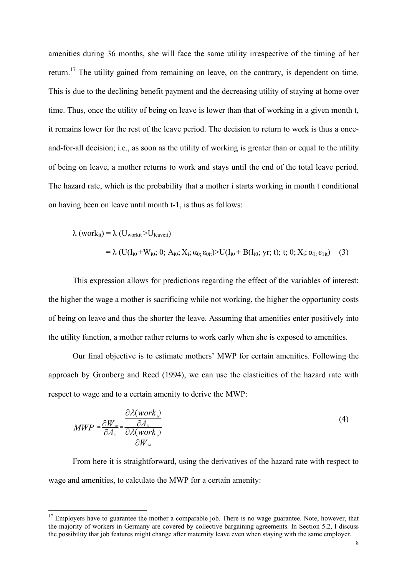amenities during 36 months, she will face the same utility irrespective of the timing of her return.<sup>17</sup> The utility gained from remaining on leave, on the contrary, is dependent on time. This is due to the declining benefit payment and the decreasing utility of staying at home over time. Thus, once the utility of being on leave is lower than that of working in a given month t, it remains lower for the rest of the leave period. The decision to return to work is thus a onceand-for-all decision; i.e., as soon as the utility of working is greater than or equal to the utility of being on leave, a mother returns to work and stays until the end of the total leave period. The hazard rate, which is the probability that a mother i starts working in month t conditional on having been on leave until month t-1, is thus as follows:

$$
\lambda \left( \text{work}_{it} \right) = \lambda \left( U_{\text{work}} \times U_{\text{leaveit}} \right)
$$
\n
$$
= \lambda \left( U(I_{i0} + W_{i0}; 0; A_{i0}; X_i; \alpha_{0;} \epsilon_{0it}) \right) U(I_{i0} + B(I_{i0}; yr; t); t; 0; X_i; \alpha_{1;} \epsilon_{1it}) \tag{3}
$$

This expression allows for predictions regarding the effect of the variables of interest: the higher the wage a mother is sacrificing while not working, the higher the opportunity costs of being on leave and thus the shorter the leave. Assuming that amenities enter positively into the utility function, a mother rather returns to work early when she is exposed to amenities.

 Our final objective is to estimate mothers' MWP for certain amenities. Following the approach by Gronberg and Reed (1994), we can use the elasticities of the hazard rate with respect to wage and to a certain amenity to derive the MWP:

$$
MWP = \frac{\partial W_{\omega}}{\partial A_{\omega}} = \frac{\frac{\partial \lambda (work_{\omega})}{\partial A_{\omega}}}{\frac{\partial \lambda (work_{\omega})}{\partial W_{\omega}}}
$$
(4)

 From here it is straightforward, using the derivatives of the hazard rate with respect to wage and amenities, to calculate the MWP for a certain amenity:

<sup>&</sup>lt;sup>17</sup> Employers have to guarantee the mother a comparable job. There is no wage guarantee. Note, however, that the majority of workers in Germany are covered by collective bargaining agreements. In Section 5.2, I discuss the possibility that job features might change after maternity leave even when staying with the same employer.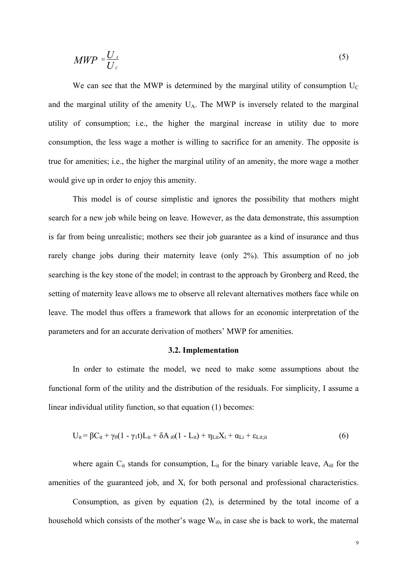$$
MWP = \frac{U_A}{U_C} \tag{5}
$$

We can see that the MWP is determined by the marginal utility of consumption  $U_C$ and the marginal utility of the amenity  $U_A$ . The MWP is inversely related to the marginal utility of consumption; i.e., the higher the marginal increase in utility due to more consumption, the less wage a mother is willing to sacrifice for an amenity. The opposite is true for amenities; i.e., the higher the marginal utility of an amenity, the more wage a mother would give up in order to enjoy this amenity.

 This model is of course simplistic and ignores the possibility that mothers might search for a new job while being on leave. However, as the data demonstrate, this assumption is far from being unrealistic; mothers see their job guarantee as a kind of insurance and thus rarely change jobs during their maternity leave (only 2%). This assumption of no job searching is the key stone of the model; in contrast to the approach by Gronberg and Reed, the setting of maternity leave allows me to observe all relevant alternatives mothers face while on leave. The model thus offers a framework that allows for an economic interpretation of the parameters and for an accurate derivation of mothers' MWP for amenities.

#### 3.2. Implementation

 In order to estimate the model, we need to make some assumptions about the functional form of the utility and the distribution of the residuals. For simplicity, I assume a linear individual utility function, so that equation (1) becomes:

$$
U_{it} = \beta C_{it} + \gamma_0 (1 - \gamma_1 t) L_{it} + \delta A_{i0} (1 - L_{it}) + \eta_{\text{Lit}} X_i + \alpha_{\text{Li}} + \epsilon_{\text{Lit}} \tag{6}
$$

where again  $C_{it}$  stands for consumption,  $L_{it}$  for the binary variable leave,  $A_{i0}$  for the amenities of the guaranteed job, and  $X_i$  for both personal and professional characteristics.

 Consumption, as given by equation (2), is determined by the total income of a household which consists of the mother's wage  $W_{i0}$ , in case she is back to work, the maternal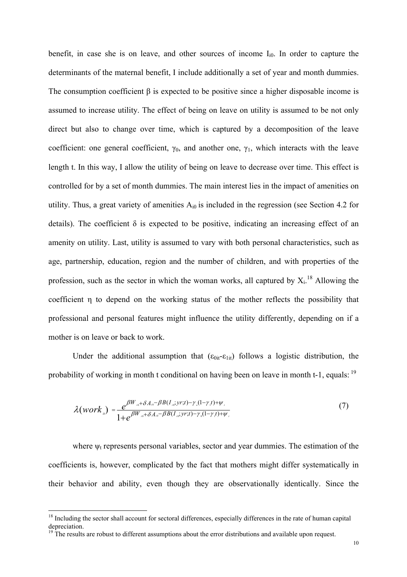benefit, in case she is on leave, and other sources of income  $I_{i0}$ . In order to capture the determinants of the maternal benefit, I include additionally a set of year and month dummies. The consumption coefficient  $\beta$  is expected to be positive since a higher disposable income is assumed to increase utility. The effect of being on leave on utility is assumed to be not only direct but also to change over time, which is captured by a decomposition of the leave coefficient: one general coefficient,  $\gamma_0$ , and another one,  $\gamma_1$ , which interacts with the leave length t. In this way, I allow the utility of being on leave to decrease over time. This effect is controlled for by a set of month dummies. The main interest lies in the impact of amenities on utility. Thus, a great variety of amenities  $A_{i0}$  is included in the regression (see Section 4.2 for details). The coefficient  $\delta$  is expected to be positive, indicating an increasing effect of an amenity on utility. Last, utility is assumed to vary with both personal characteristics, such as age, partnership, education, region and the number of children, and with properties of the profession, such as the sector in which the woman works, all captured by  $X_i$ <sup>18</sup> Allowing the coefficient η to depend on the working status of the mother reflects the possibility that professional and personal features might influence the utility differently, depending on if a mother is on leave or back to work.

Under the additional assumption that  $(\epsilon_{0it} - \epsilon_{1it})$  follows a logistic distribution, the probability of working in month t conditional on having been on leave in month t-1, equals:  $19$ 

$$
\lambda(work_{ii}) = \frac{e^{\beta W_{i0} + \delta A_{i0} - \beta B(I_{i0}; yr;t) - \gamma_{i}(1-\gamma_{i}t) + \psi_{i}}}{1 + e^{\beta W_{i0} + \delta A_{i0} - \beta B(I_{i0}; yr;t) - \gamma_{i}(1-\gamma_{i}t) + \psi_{i}}}
$$
\n(7)

where  $\psi_t$  represents personal variables, sector and year dummies. The estimation of the coefficients is, however, complicated by the fact that mothers might differ systematically in their behavior and ability, even though they are observationally identically. Since the

<sup>&</sup>lt;sup>18</sup> Including the sector shall account for sectoral differences, especially differences in the rate of human capital depreciation.

 $19$ <sup>19</sup> The results are robust to different assumptions about the error distributions and available upon request.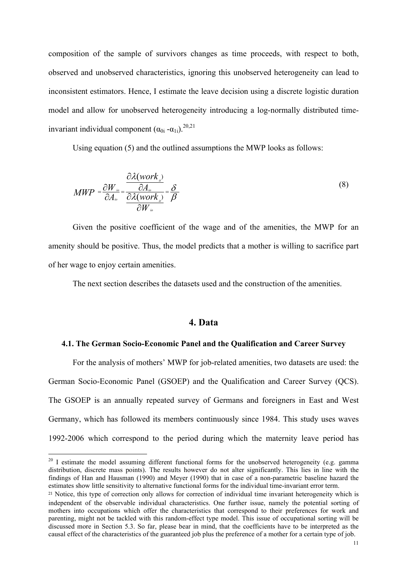composition of the sample of survivors changes as time proceeds, with respect to both, observed and unobserved characteristics, ignoring this unobserved heterogeneity can lead to inconsistent estimators. Hence, I estimate the leave decision using a discrete logistic duration model and allow for unobserved heterogeneity introducing a log-normally distributed timeinvariant individual component  $(α<sub>0i</sub> - α<sub>1i</sub>)<sup>20,21</sup>$ 

Using equation (5) and the outlined assumptions the MWP looks as follows:

$$
MWP = \frac{\partial W_{i_o}}{\partial A_{i_o}} = \frac{\frac{\partial \lambda (work_{i})}{\partial A_{i_o}}}{\frac{\partial \lambda (work_{i})}{\partial W_{i_o}}} = \frac{\delta}{\beta}
$$
(8)

Given the positive coefficient of the wage and of the amenities, the MWP for an amenity should be positive. Thus, the model predicts that a mother is willing to sacrifice part of her wage to enjoy certain amenities.

The next section describes the datasets used and the construction of the amenities.

### 4. Data

### 4.1. The German Socio-Economic Panel and the Qualification and Career Survey

 For the analysis of mothers' MWP for job-related amenities, two datasets are used: the German Socio-Economic Panel (GSOEP) and the Qualification and Career Survey (QCS). The GSOEP is an annually repeated survey of Germans and foreigners in East and West Germany, which has followed its members continuously since 1984. This study uses waves 1992-2006 which correspond to the period during which the maternity leave period has

 $^{20}$  I estimate the model assuming different functional forms for the unobserved heterogeneity (e.g. gamma distribution, discrete mass points). The results however do not alter significantly. This lies in line with the findings of Han and Hausman (1990) and Meyer (1990) that in case of a non-parametric baseline hazard the estimates show little sensitivity to alternative functional forms for the individual time-invariant error term.

<sup>&</sup>lt;sup>21</sup> Notice, this type of correction only allows for correction of individual time invariant heterogeneity which is independent of the observable individual characteristics. One further issue, namely the potential sorting of mothers into occupations which offer the characteristics that correspond to their preferences for work and parenting, might not be tackled with this random-effect type model. This issue of occupational sorting will be discussed more in Section 5.3. So far, please bear in mind, that the coefficients have to be interpreted as the causal effect of the characteristics of the guaranteed job plus the preference of a mother for a certain type of job.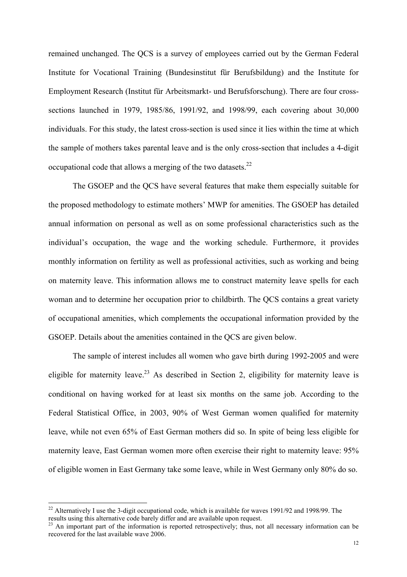remained unchanged. The QCS is a survey of employees carried out by the German Federal Institute for Vocational Training (Bundesinstitut für Berufsbildung) and the Institute for Employment Research (Institut für Arbeitsmarkt- und Berufsforschung). There are four crosssections launched in 1979, 1985/86, 1991/92, and 1998/99, each covering about 30,000 individuals. For this study, the latest cross-section is used since it lies within the time at which the sample of mothers takes parental leave and is the only cross-section that includes a 4-digit occupational code that allows a merging of the two datasets.<sup>22</sup>

 The GSOEP and the QCS have several features that make them especially suitable for the proposed methodology to estimate mothers' MWP for amenities. The GSOEP has detailed annual information on personal as well as on some professional characteristics such as the individual's occupation, the wage and the working schedule. Furthermore, it provides monthly information on fertility as well as professional activities, such as working and being on maternity leave. This information allows me to construct maternity leave spells for each woman and to determine her occupation prior to childbirth. The QCS contains a great variety of occupational amenities, which complements the occupational information provided by the GSOEP. Details about the amenities contained in the QCS are given below.

 The sample of interest includes all women who gave birth during 1992-2005 and were eligible for maternity leave.<sup>23</sup> As described in Section 2, eligibility for maternity leave is conditional on having worked for at least six months on the same job. According to the Federal Statistical Office, in 2003, 90% of West German women qualified for maternity leave, while not even 65% of East German mothers did so. In spite of being less eligible for maternity leave, East German women more often exercise their right to maternity leave: 95% of eligible women in East Germany take some leave, while in West Germany only 80% do so.

<sup>&</sup>lt;sup>22</sup> Alternatively I use the 3-digit occupational code, which is available for waves 1991/92 and 1998/99. The results using this alternative code barely differ and are available upon request.

<sup>&</sup>lt;sup>23</sup> An important part of the information is reported retrospectively; thus, not all necessary information can be recovered for the last available wave 2006.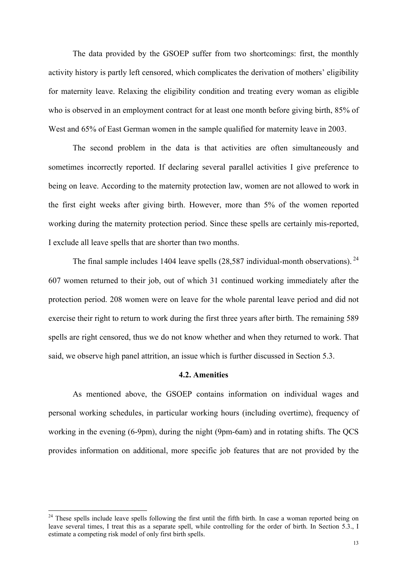The data provided by the GSOEP suffer from two shortcomings: first, the monthly activity history is partly left censored, which complicates the derivation of mothers' eligibility for maternity leave. Relaxing the eligibility condition and treating every woman as eligible who is observed in an employment contract for at least one month before giving birth, 85% of West and 65% of East German women in the sample qualified for maternity leave in 2003.

 The second problem in the data is that activities are often simultaneously and sometimes incorrectly reported. If declaring several parallel activities I give preference to being on leave. According to the maternity protection law, women are not allowed to work in the first eight weeks after giving birth. However, more than 5% of the women reported working during the maternity protection period. Since these spells are certainly mis-reported, I exclude all leave spells that are shorter than two months.

The final sample includes 1404 leave spells  $(28,587 \text{ individual-month observations})$ .<sup>24</sup> 607 women returned to their job, out of which 31 continued working immediately after the protection period. 208 women were on leave for the whole parental leave period and did not exercise their right to return to work during the first three years after birth. The remaining 589 spells are right censored, thus we do not know whether and when they returned to work. That said, we observe high panel attrition, an issue which is further discussed in Section 5.3.

### 4.2. Amenities

As mentioned above, the GSOEP contains information on individual wages and personal working schedules, in particular working hours (including overtime), frequency of working in the evening (6-9pm), during the night (9pm-6am) and in rotating shifts. The QCS provides information on additional, more specific job features that are not provided by the

<sup>&</sup>lt;sup>24</sup> These spells include leave spells following the first until the fifth birth. In case a woman reported being on leave several times, I treat this as a separate spell, while controlling for the order of birth. In Section 5.3., I estimate a competing risk model of only first birth spells.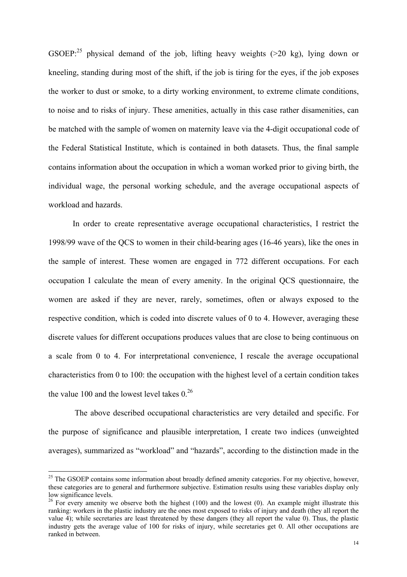GSOEP:<sup>25</sup> physical demand of the job, lifting heavy weights ( $>$ 20 kg), lying down or kneeling, standing during most of the shift, if the job is tiring for the eyes, if the job exposes the worker to dust or smoke, to a dirty working environment, to extreme climate conditions, to noise and to risks of injury. These amenities, actually in this case rather disamenities, can be matched with the sample of women on maternity leave via the 4-digit occupational code of the Federal Statistical Institute, which is contained in both datasets. Thus, the final sample contains information about the occupation in which a woman worked prior to giving birth, the individual wage, the personal working schedule, and the average occupational aspects of workload and hazards.

 In order to create representative average occupational characteristics, I restrict the 1998/99 wave of the QCS to women in their child-bearing ages (16-46 years), like the ones in the sample of interest. These women are engaged in 772 different occupations. For each occupation I calculate the mean of every amenity. In the original QCS questionnaire, the women are asked if they are never, rarely, sometimes, often or always exposed to the respective condition, which is coded into discrete values of 0 to 4. However, averaging these discrete values for different occupations produces values that are close to being continuous on a scale from 0 to 4. For interpretational convenience, I rescale the average occupational characteristics from 0 to 100: the occupation with the highest level of a certain condition takes the value 100 and the lowest level takes  $0.^{26}$ 

 The above described occupational characteristics are very detailed and specific. For the purpose of significance and plausible interpretation, I create two indices (unweighted averages), summarized as "workload" and "hazards", according to the distinction made in the

.

 $^{25}$  The GSOEP contains some information about broadly defined amenity categories. For my objective, however, these categories are to general and furthermore subjective. Estimation results using these variables display only low significance levels.

<sup>&</sup>lt;sup>26</sup> For every amenity we observe both the highest (100) and the lowest (0). An example might illustrate this ranking: workers in the plastic industry are the ones most exposed to risks of injury and death (they all report the value  $\overline{4}$ ); while secretaries are least threatened by these dangers (they all report the value 0). Thus, the plastic industry gets the average value of 100 for risks of injury, while secretaries get 0. All other occupations are ranked in between.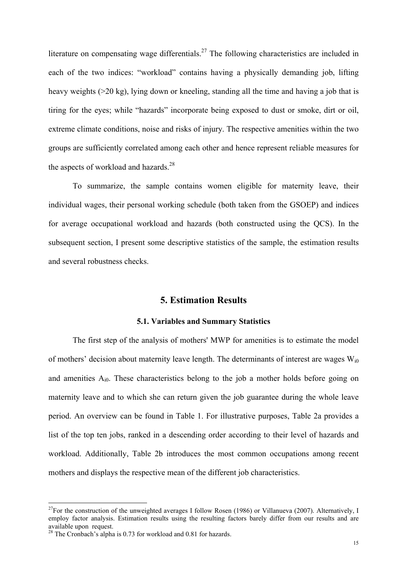literature on compensating wage differentials.<sup>27</sup> The following characteristics are included in each of the two indices: "workload" contains having a physically demanding job, lifting heavy weights (>20 kg), lying down or kneeling, standing all the time and having a job that is tiring for the eyes; while "hazards" incorporate being exposed to dust or smoke, dirt or oil, extreme climate conditions, noise and risks of injury. The respective amenities within the two groups are sufficiently correlated among each other and hence represent reliable measures for the aspects of workload and hazards. $28$ 

 To summarize, the sample contains women eligible for maternity leave, their individual wages, their personal working schedule (both taken from the GSOEP) and indices for average occupational workload and hazards (both constructed using the QCS). In the subsequent section, I present some descriptive statistics of the sample, the estimation results and several robustness checks.

### 5. Estimation Results

#### 5.1. Variables and Summary Statistics

 The first step of the analysis of mothers' MWP for amenities is to estimate the model of mothers' decision about maternity leave length. The determinants of interest are wages  $W_{i0}$ and amenities  $A_{i0}$ . These characteristics belong to the job a mother holds before going on maternity leave and to which she can return given the job guarantee during the whole leave period. An overview can be found in Table 1. For illustrative purposes, Table 2a provides a list of the top ten jobs, ranked in a descending order according to their level of hazards and workload. Additionally, Table 2b introduces the most common occupations among recent mothers and displays the respective mean of the different job characteristics.

<sup>&</sup>lt;sup>27</sup>For the construction of the unweighted averages I follow Rosen (1986) or Villanueva (2007). Alternatively, I employ factor analysis. Estimation results using the resulting factors barely differ from our results and are available upon request.

<sup>&</sup>lt;sup>28</sup> The Cronbach's alpha is 0.73 for workload and 0.81 for hazards.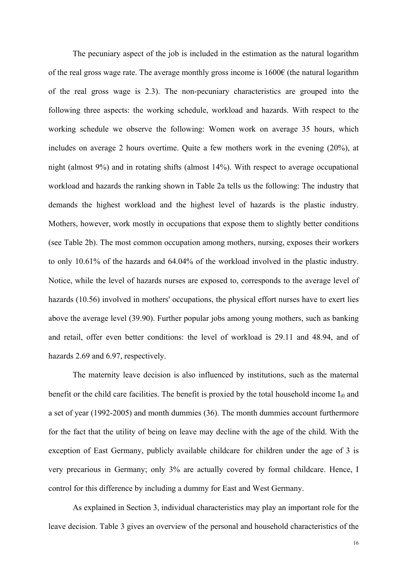The pecuniary aspect of the job is included in the estimation as the natural logarithm of the real gross wage rate. The average monthly gross income is  $1600\epsilon$  (the natural logarithm of the real gross wage is 2.3). The non-pecuniary characteristics are grouped into the following three aspects: the working schedule, workload and hazards. With respect to the working schedule we observe the following: Women work on average 35 hours, which includes on average 2 hours overtime. Quite a few mothers work in the evening (20%), at night (almost 9%) and in rotating shifts (almost 14%). With respect to average occupational workload and hazards the ranking shown in Table 2a tells us the following: The industry that demands the highest workload and the highest level of hazards is the plastic industry. Mothers, however, work mostly in occupations that expose them to slightly better conditions (see Table 2b). The most common occupation among mothers, nursing, exposes their workers to only 10.61% of the hazards and 64.04% of the workload involved in the plastic industry. Notice, while the level of hazards nurses are exposed to, corresponds to the average level of hazards (10.56) involved in mothers' occupations, the physical effort nurses have to exert lies above the average level (39.90). Further popular jobs among young mothers, such as banking and retail, offer even better conditions: the level of workload is 29.11 and 48.94, and of hazards 2.69 and 6.97, respectively.

 The maternity leave decision is also influenced by institutions, such as the maternal benefit or the child care facilities. The benefit is proxied by the total household income  $I_{i0}$  and a set of year (1992-2005) and month dummies (36). The month dummies account furthermore for the fact that the utility of being on leave may decline with the age of the child. With the exception of East Germany, publicly available childcare for children under the age of 3 is very precarious in Germany; only 3% are actually covered by formal childcare. Hence, I control for this difference by including a dummy for East and West Germany.

 As explained in Section 3, individual characteristics may play an important role for the leave decision. Table 3 gives an overview of the personal and household characteristics of the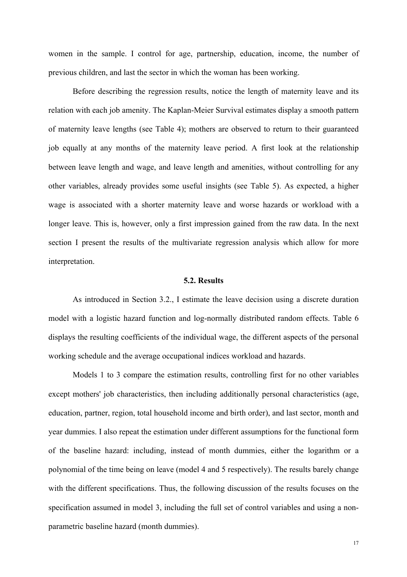women in the sample. I control for age, partnership, education, income, the number of previous children, and last the sector in which the woman has been working.

 Before describing the regression results, notice the length of maternity leave and its relation with each job amenity. The Kaplan-Meier Survival estimates display a smooth pattern of maternity leave lengths (see Table 4); mothers are observed to return to their guaranteed job equally at any months of the maternity leave period. A first look at the relationship between leave length and wage, and leave length and amenities, without controlling for any other variables, already provides some useful insights (see Table 5). As expected, a higher wage is associated with a shorter maternity leave and worse hazards or workload with a longer leave. This is, however, only a first impression gained from the raw data. In the next section I present the results of the multivariate regression analysis which allow for more interpretation.

#### 5.2. Results

As introduced in Section 3.2., I estimate the leave decision using a discrete duration model with a logistic hazard function and log-normally distributed random effects. Table 6 displays the resulting coefficients of the individual wage, the different aspects of the personal working schedule and the average occupational indices workload and hazards.

 Models 1 to 3 compare the estimation results, controlling first for no other variables except mothers' job characteristics, then including additionally personal characteristics (age, education, partner, region, total household income and birth order), and last sector, month and year dummies. I also repeat the estimation under different assumptions for the functional form of the baseline hazard: including, instead of month dummies, either the logarithm or a polynomial of the time being on leave (model 4 and 5 respectively). The results barely change with the different specifications. Thus, the following discussion of the results focuses on the specification assumed in model 3, including the full set of control variables and using a nonparametric baseline hazard (month dummies).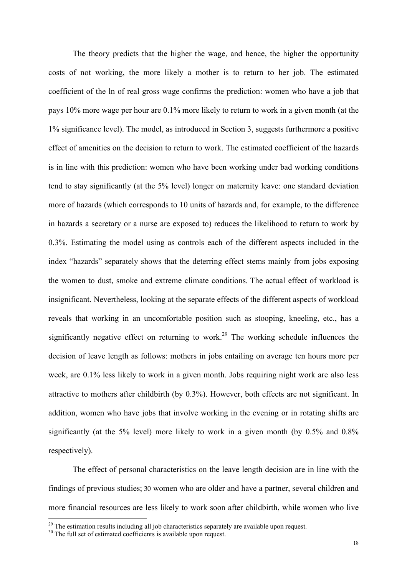The theory predicts that the higher the wage, and hence, the higher the opportunity costs of not working, the more likely a mother is to return to her job. The estimated coefficient of the ln of real gross wage confirms the prediction: women who have a job that pays 10% more wage per hour are 0.1% more likely to return to work in a given month (at the 1% significance level). The model, as introduced in Section 3, suggests furthermore a positive effect of amenities on the decision to return to work. The estimated coefficient of the hazards is in line with this prediction: women who have been working under bad working conditions tend to stay significantly (at the 5% level) longer on maternity leave: one standard deviation more of hazards (which corresponds to 10 units of hazards and, for example, to the difference in hazards a secretary or a nurse are exposed to) reduces the likelihood to return to work by 0.3%. Estimating the model using as controls each of the different aspects included in the index "hazards" separately shows that the deterring effect stems mainly from jobs exposing the women to dust, smoke and extreme climate conditions. The actual effect of workload is insignificant. Nevertheless, looking at the separate effects of the different aspects of workload reveals that working in an uncomfortable position such as stooping, kneeling, etc., has a significantly negative effect on returning to work.<sup>29</sup> The working schedule influences the decision of leave length as follows: mothers in jobs entailing on average ten hours more per week, are 0.1% less likely to work in a given month. Jobs requiring night work are also less attractive to mothers after childbirth (by 0.3%). However, both effects are not significant. In addition, women who have jobs that involve working in the evening or in rotating shifts are significantly (at the 5% level) more likely to work in a given month (by 0.5% and 0.8% respectively).

The effect of personal characteristics on the leave length decision are in line with the findings of previous studies; 30 women who are older and have a partner, several children and more financial resources are less likely to work soon after childbirth, while women who live

.

<sup>&</sup>lt;sup>29</sup> The estimation results including all job characteristics separately are available upon request.

<sup>&</sup>lt;sup>30</sup> The full set of estimated coefficients is available upon request.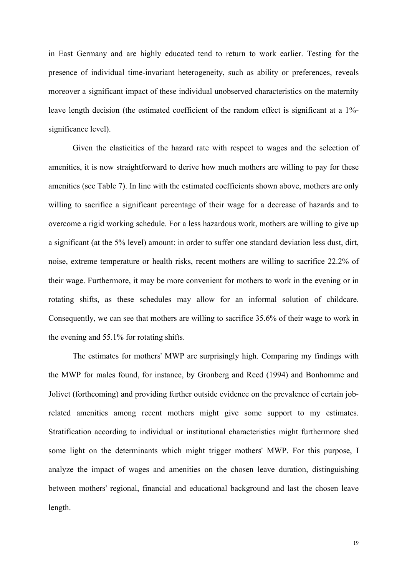in East Germany and are highly educated tend to return to work earlier. Testing for the presence of individual time-invariant heterogeneity, such as ability or preferences, reveals moreover a significant impact of these individual unobserved characteristics on the maternity leave length decision (the estimated coefficient of the random effect is significant at a 1% significance level).

 Given the elasticities of the hazard rate with respect to wages and the selection of amenities, it is now straightforward to derive how much mothers are willing to pay for these amenities (see Table 7). In line with the estimated coefficients shown above, mothers are only willing to sacrifice a significant percentage of their wage for a decrease of hazards and to overcome a rigid working schedule. For a less hazardous work, mothers are willing to give up a significant (at the 5% level) amount: in order to suffer one standard deviation less dust, dirt, noise, extreme temperature or health risks, recent mothers are willing to sacrifice 22.2% of their wage. Furthermore, it may be more convenient for mothers to work in the evening or in rotating shifts, as these schedules may allow for an informal solution of childcare. Consequently, we can see that mothers are willing to sacrifice 35.6% of their wage to work in the evening and 55.1% for rotating shifts.

The estimates for mothers' MWP are surprisingly high. Comparing my findings with the MWP for males found, for instance, by Gronberg and Reed (1994) and Bonhomme and Jolivet (forthcoming) and providing further outside evidence on the prevalence of certain jobrelated amenities among recent mothers might give some support to my estimates. Stratification according to individual or institutional characteristics might furthermore shed some light on the determinants which might trigger mothers' MWP. For this purpose, I analyze the impact of wages and amenities on the chosen leave duration, distinguishing between mothers' regional, financial and educational background and last the chosen leave length.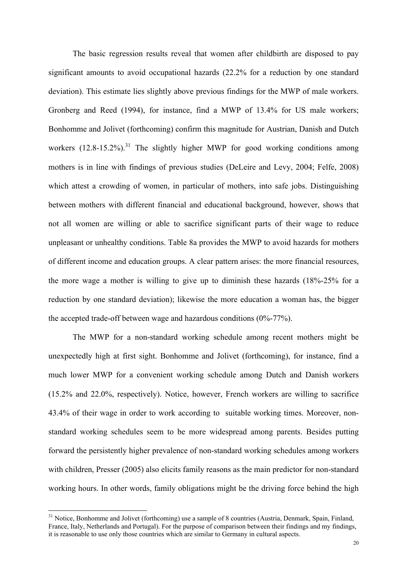The basic regression results reveal that women after childbirth are disposed to pay significant amounts to avoid occupational hazards (22.2% for a reduction by one standard deviation). This estimate lies slightly above previous findings for the MWP of male workers. Gronberg and Reed (1994), for instance, find a MWP of 13.4% for US male workers; Bonhomme and Jolivet (forthcoming) confirm this magnitude for Austrian, Danish and Dutch workers  $(12.8-15.2\%)$ <sup>31</sup>. The slightly higher MWP for good working conditions among mothers is in line with findings of previous studies (DeLeire and Levy, 2004; Felfe, 2008) which attest a crowding of women, in particular of mothers, into safe jobs. Distinguishing between mothers with different financial and educational background, however, shows that not all women are willing or able to sacrifice significant parts of their wage to reduce unpleasant or unhealthy conditions. Table 8a provides the MWP to avoid hazards for mothers of different income and education groups. A clear pattern arises: the more financial resources, the more wage a mother is willing to give up to diminish these hazards (18%-25% for a reduction by one standard deviation); likewise the more education a woman has, the bigger the accepted trade-off between wage and hazardous conditions (0%-77%).

 The MWP for a non-standard working schedule among recent mothers might be unexpectedly high at first sight. Bonhomme and Jolivet (forthcoming), for instance, find a much lower MWP for a convenient working schedule among Dutch and Danish workers (15.2% and 22.0%, respectively). Notice, however, French workers are willing to sacrifice 43.4% of their wage in order to work according to suitable working times. Moreover, nonstandard working schedules seem to be more widespread among parents. Besides putting forward the persistently higher prevalence of non-standard working schedules among workers with children, Presser (2005) also elicits family reasons as the main predictor for non-standard working hours. In other words, family obligations might be the driving force behind the high

<sup>&</sup>lt;sup>31</sup> Notice, Bonhomme and Jolivet (forthcoming) use a sample of 8 countries (Austria, Denmark, Spain, Finland, France, Italy, Netherlands and Portugal). For the purpose of comparison between their findings and my findings, it is reasonable to use only those countries which are similar to Germany in cultural aspects.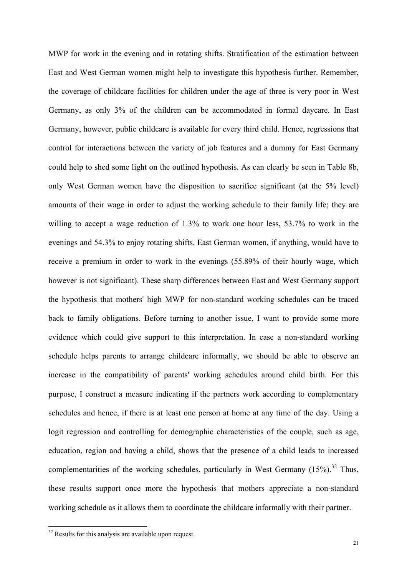MWP for work in the evening and in rotating shifts. Stratification of the estimation between East and West German women might help to investigate this hypothesis further. Remember, the coverage of childcare facilities for children under the age of three is very poor in West Germany, as only 3% of the children can be accommodated in formal daycare. In East Germany, however, public childcare is available for every third child. Hence, regressions that control for interactions between the variety of job features and a dummy for East Germany could help to shed some light on the outlined hypothesis. As can clearly be seen in Table 8b, only West German women have the disposition to sacrifice significant (at the 5% level) amounts of their wage in order to adjust the working schedule to their family life; they are willing to accept a wage reduction of 1.3% to work one hour less, 53.7% to work in the evenings and 54.3% to enjoy rotating shifts. East German women, if anything, would have to receive a premium in order to work in the evenings (55.89% of their hourly wage, which however is not significant). These sharp differences between East and West Germany support the hypothesis that mothers' high MWP for non-standard working schedules can be traced back to family obligations. Before turning to another issue, I want to provide some more evidence which could give support to this interpretation. In case a non-standard working schedule helps parents to arrange childcare informally, we should be able to observe an increase in the compatibility of parents' working schedules around child birth. For this purpose, I construct a measure indicating if the partners work according to complementary schedules and hence, if there is at least one person at home at any time of the day. Using a logit regression and controlling for demographic characteristics of the couple, such as age, education, region and having a child, shows that the presence of a child leads to increased complementarities of the working schedules, particularly in West Germany  $(15\%)$ .<sup>32</sup> Thus, these results support once more the hypothesis that mothers appreciate a non-standard working schedule as it allows them to coordinate the childcare informally with their partner.

<sup>&</sup>lt;sup>32</sup> Results for this analysis are available upon request.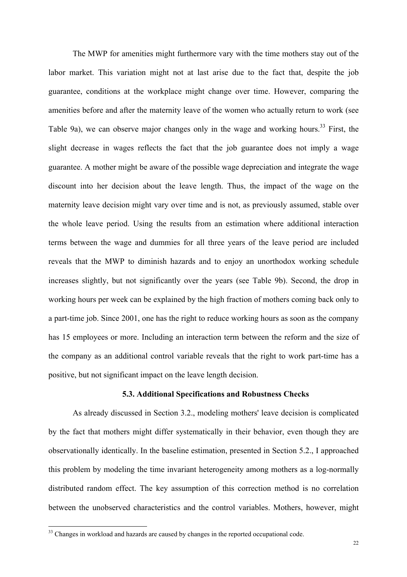The MWP for amenities might furthermore vary with the time mothers stay out of the labor market. This variation might not at last arise due to the fact that, despite the job guarantee, conditions at the workplace might change over time. However, comparing the amenities before and after the maternity leave of the women who actually return to work (see Table 9a), we can observe major changes only in the wage and working hours.<sup>33</sup> First, the slight decrease in wages reflects the fact that the job guarantee does not imply a wage guarantee. A mother might be aware of the possible wage depreciation and integrate the wage discount into her decision about the leave length. Thus, the impact of the wage on the maternity leave decision might vary over time and is not, as previously assumed, stable over the whole leave period. Using the results from an estimation where additional interaction terms between the wage and dummies for all three years of the leave period are included reveals that the MWP to diminish hazards and to enjoy an unorthodox working schedule increases slightly, but not significantly over the years (see Table 9b). Second, the drop in working hours per week can be explained by the high fraction of mothers coming back only to a part-time job. Since 2001, one has the right to reduce working hours as soon as the company has 15 employees or more. Including an interaction term between the reform and the size of the company as an additional control variable reveals that the right to work part-time has a positive, but not significant impact on the leave length decision.

### 5.3. Additional Specifications and Robustness Checks

As already discussed in Section 3.2., modeling mothers' leave decision is complicated by the fact that mothers might differ systematically in their behavior, even though they are observationally identically. In the baseline estimation, presented in Section 5.2., I approached this problem by modeling the time invariant heterogeneity among mothers as a log-normally distributed random effect. The key assumption of this correction method is no correlation between the unobserved characteristics and the control variables. Mothers, however, might

<sup>&</sup>lt;sup>33</sup> Changes in workload and hazards are caused by changes in the reported occupational code.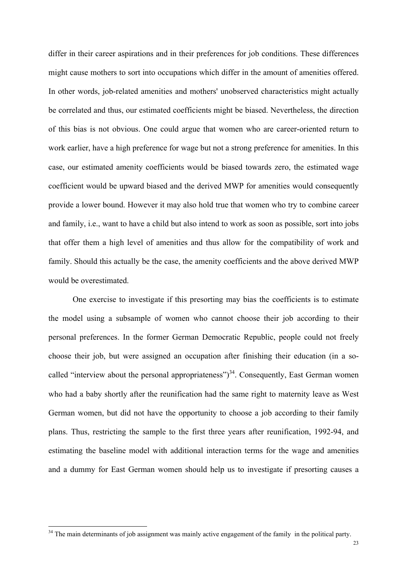differ in their career aspirations and in their preferences for job conditions. These differences might cause mothers to sort into occupations which differ in the amount of amenities offered. In other words, job-related amenities and mothers' unobserved characteristics might actually be correlated and thus, our estimated coefficients might be biased. Nevertheless, the direction of this bias is not obvious. One could argue that women who are career-oriented return to work earlier, have a high preference for wage but not a strong preference for amenities. In this case, our estimated amenity coefficients would be biased towards zero, the estimated wage coefficient would be upward biased and the derived MWP for amenities would consequently provide a lower bound. However it may also hold true that women who try to combine career and family, i.e., want to have a child but also intend to work as soon as possible, sort into jobs that offer them a high level of amenities and thus allow for the compatibility of work and family. Should this actually be the case, the amenity coefficients and the above derived MWP would be overestimated.

 One exercise to investigate if this presorting may bias the coefficients is to estimate the model using a subsample of women who cannot choose their job according to their personal preferences. In the former German Democratic Republic, people could not freely choose their job, but were assigned an occupation after finishing their education (in a socalled "interview about the personal appropriateness")<sup>34</sup>. Consequently, East German women who had a baby shortly after the reunification had the same right to maternity leave as West German women, but did not have the opportunity to choose a job according to their family plans. Thus, restricting the sample to the first three years after reunification, 1992-94, and estimating the baseline model with additional interaction terms for the wage and amenities and a dummy for East German women should help us to investigate if presorting causes a

<sup>&</sup>lt;sup>34</sup> The main determinants of job assignment was mainly active engagement of the family in the political party.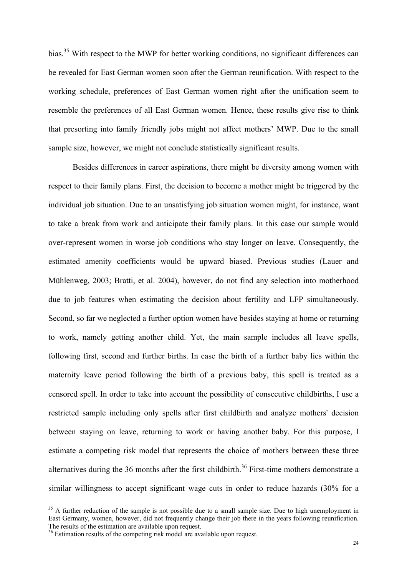bias.<sup>35</sup> With respect to the MWP for better working conditions, no significant differences can be revealed for East German women soon after the German reunification. With respect to the working schedule, preferences of East German women right after the unification seem to resemble the preferences of all East German women. Hence, these results give rise to think that presorting into family friendly jobs might not affect mothers' MWP. Due to the small sample size, however, we might not conclude statistically significant results.

Besides differences in career aspirations, there might be diversity among women with respect to their family plans. First, the decision to become a mother might be triggered by the individual job situation. Due to an unsatisfying job situation women might, for instance, want to take a break from work and anticipate their family plans. In this case our sample would over-represent women in worse job conditions who stay longer on leave. Consequently, the estimated amenity coefficients would be upward biased. Previous studies (Lauer and Mühlenweg, 2003; Bratti, et al. 2004), however, do not find any selection into motherhood due to job features when estimating the decision about fertility and LFP simultaneously. Second, so far we neglected a further option women have besides staying at home or returning to work, namely getting another child. Yet, the main sample includes all leave spells, following first, second and further births. In case the birth of a further baby lies within the maternity leave period following the birth of a previous baby, this spell is treated as a censored spell. In order to take into account the possibility of consecutive childbirths, I use a restricted sample including only spells after first childbirth and analyze mothers' decision between staying on leave, returning to work or having another baby. For this purpose, I estimate a competing risk model that represents the choice of mothers between these three alternatives during the 36 months after the first childbirth.<sup>36</sup> First-time mothers demonstrate a similar willingness to accept significant wage cuts in order to reduce hazards (30% for a

 $35$  A further reduction of the sample is not possible due to a small sample size. Due to high unemployment in East Germany, women, however, did not frequently change their job there in the years following reunification. The results of the estimation are available upon request.

 $36$  Estimation results of the competing risk model are available upon request.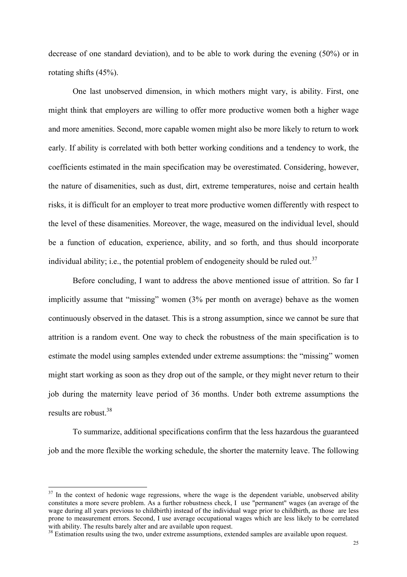decrease of one standard deviation), and to be able to work during the evening (50%) or in rotating shifts (45%).

 One last unobserved dimension, in which mothers might vary, is ability. First, one might think that employers are willing to offer more productive women both a higher wage and more amenities. Second, more capable women might also be more likely to return to work early. If ability is correlated with both better working conditions and a tendency to work, the coefficients estimated in the main specification may be overestimated. Considering, however, the nature of disamenities, such as dust, dirt, extreme temperatures, noise and certain health risks, it is difficult for an employer to treat more productive women differently with respect to the level of these disamenities. Moreover, the wage, measured on the individual level, should be a function of education, experience, ability, and so forth, and thus should incorporate individual ability; i.e., the potential problem of endogeneity should be ruled out.<sup>37</sup>

 Before concluding, I want to address the above mentioned issue of attrition. So far I implicitly assume that "missing" women (3% per month on average) behave as the women continuously observed in the dataset. This is a strong assumption, since we cannot be sure that attrition is a random event. One way to check the robustness of the main specification is to estimate the model using samples extended under extreme assumptions: the "missing" women might start working as soon as they drop out of the sample, or they might never return to their job during the maternity leave period of 36 months. Under both extreme assumptions the results are robust.<sup>38</sup>

 To summarize, additional specifications confirm that the less hazardous the guaranteed job and the more flexible the working schedule, the shorter the maternity leave. The following

 $37$  In the context of hedonic wage regressions, where the wage is the dependent variable, unobserved ability constitutes a more severe problem. As a further robustness check, I use "permanent" wages (an average of the wage during all years previous to childbirth) instead of the individual wage prior to childbirth, as those are less prone to measurement errors. Second, I use average occupational wages which are less likely to be correlated with ability. The results barely alter and are available upon request.

<sup>&</sup>lt;sup>38</sup> Estimation results using the two, under extreme assumptions, extended samples are available upon request.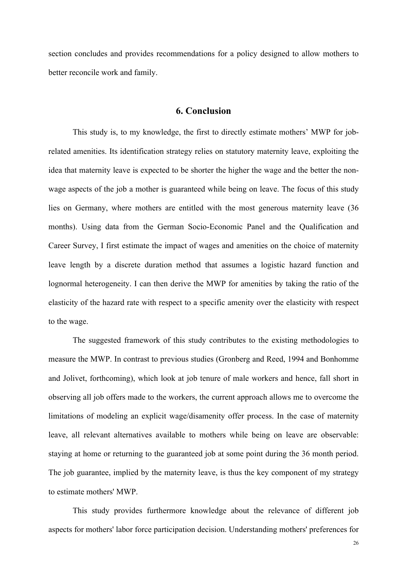section concludes and provides recommendations for a policy designed to allow mothers to better reconcile work and family.

### 6. Conclusion

 This study is, to my knowledge, the first to directly estimate mothers' MWP for jobrelated amenities. Its identification strategy relies on statutory maternity leave, exploiting the idea that maternity leave is expected to be shorter the higher the wage and the better the nonwage aspects of the job a mother is guaranteed while being on leave. The focus of this study lies on Germany, where mothers are entitled with the most generous maternity leave (36 months). Using data from the German Socio-Economic Panel and the Qualification and Career Survey, I first estimate the impact of wages and amenities on the choice of maternity leave length by a discrete duration method that assumes a logistic hazard function and lognormal heterogeneity. I can then derive the MWP for amenities by taking the ratio of the elasticity of the hazard rate with respect to a specific amenity over the elasticity with respect to the wage.

The suggested framework of this study contributes to the existing methodologies to measure the MWP. In contrast to previous studies (Gronberg and Reed, 1994 and Bonhomme and Jolivet, forthcoming), which look at job tenure of male workers and hence, fall short in observing all job offers made to the workers, the current approach allows me to overcome the limitations of modeling an explicit wage/disamenity offer process. In the case of maternity leave, all relevant alternatives available to mothers while being on leave are observable: staying at home or returning to the guaranteed job at some point during the 36 month period. The job guarantee, implied by the maternity leave, is thus the key component of my strategy to estimate mothers' MWP.

This study provides furthermore knowledge about the relevance of different job aspects for mothers' labor force participation decision. Understanding mothers' preferences for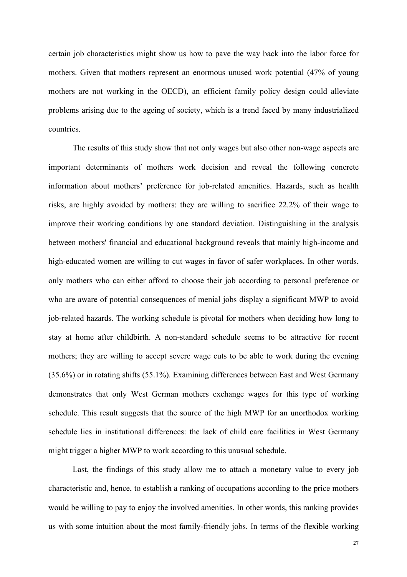certain job characteristics might show us how to pave the way back into the labor force for mothers. Given that mothers represent an enormous unused work potential (47% of young mothers are not working in the OECD), an efficient family policy design could alleviate problems arising due to the ageing of society, which is a trend faced by many industrialized countries.

The results of this study show that not only wages but also other non-wage aspects are important determinants of mothers work decision and reveal the following concrete information about mothers' preference for job-related amenities. Hazards, such as health risks, are highly avoided by mothers: they are willing to sacrifice 22.2% of their wage to improve their working conditions by one standard deviation. Distinguishing in the analysis between mothers' financial and educational background reveals that mainly high-income and high-educated women are willing to cut wages in favor of safer workplaces. In other words, only mothers who can either afford to choose their job according to personal preference or who are aware of potential consequences of menial jobs display a significant MWP to avoid job-related hazards. The working schedule is pivotal for mothers when deciding how long to stay at home after childbirth. A non-standard schedule seems to be attractive for recent mothers; they are willing to accept severe wage cuts to be able to work during the evening (35.6%) or in rotating shifts (55.1%). Examining differences between East and West Germany demonstrates that only West German mothers exchange wages for this type of working schedule. This result suggests that the source of the high MWP for an unorthodox working schedule lies in institutional differences: the lack of child care facilities in West Germany might trigger a higher MWP to work according to this unusual schedule.

 Last, the findings of this study allow me to attach a monetary value to every job characteristic and, hence, to establish a ranking of occupations according to the price mothers would be willing to pay to enjoy the involved amenities. In other words, this ranking provides us with some intuition about the most family-friendly jobs. In terms of the flexible working

27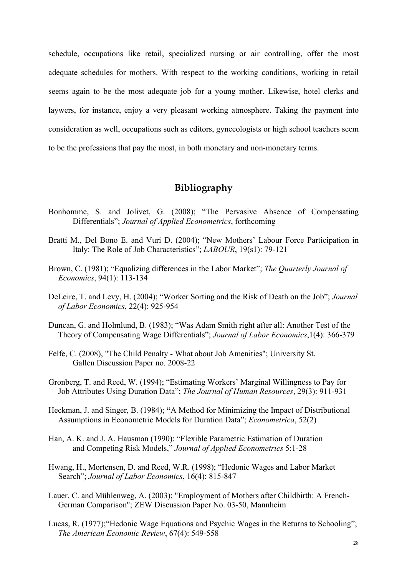schedule, occupations like retail, specialized nursing or air controlling, offer the most adequate schedules for mothers. With respect to the working conditions, working in retail seems again to be the most adequate job for a young mother. Likewise, hotel clerks and laywers, for instance, enjoy a very pleasant working atmosphere. Taking the payment into consideration as well, occupations such as editors, gynecologists or high school teachers seem to be the professions that pay the most, in both monetary and non-monetary terms.

# Bibliography

- Bonhomme, S. and Jolivet, G. (2008); "The Pervasive Absence of Compensating Differentials"; Journal of Applied Econometrics, forthcoming
- Bratti M., Del Bono E. and Vuri D. (2004); "New Mothers' Labour Force Participation in Italy: The Role of Job Characteristics"; LABOUR, 19(s1): 79-121
- Brown, C. (1981); "Equalizing differences in the Labor Market"; The Quarterly Journal of Economics, 94(1): 113-134
- DeLeire, T. and Levy, H. (2004); "Worker Sorting and the Risk of Death on the Job"; Journal of Labor Economics, 22(4): 925-954
- Duncan, G. and Holmlund, B. (1983); "Was Adam Smith right after all: Another Test of the Theory of Compensating Wage Differentials"; Journal of Labor Economics,1(4): 366-379
- Felfe, C. (2008), "The Child Penalty What about Job Amenities"; University St. Gallen Discussion Paper no. 2008-22
- Gronberg, T. and Reed, W. (1994); "Estimating Workers' Marginal Willingness to Pay for Job Attributes Using Duration Data"; The Journal of Human Resources, 29(3): 911-931
- Heckman, J. and Singer, B. (1984); "A Method for Minimizing the Impact of Distributional Assumptions in Econometric Models for Duration Data"; Econometrica, 52(2)
- Han, A. K. and J. A. Hausman (1990): "Flexible Parametric Estimation of Duration and Competing Risk Models," Journal of Applied Econometrics 5:1-28
- Hwang, H., Mortensen, D. and Reed, W.R. (1998); "Hedonic Wages and Labor Market Search"; Journal of Labor Economics, 16(4): 815-847
- Lauer, C. and Mühlenweg, A. (2003); "Employment of Mothers after Childbirth: A French-German Comparison"; ZEW Discussion Paper No. 03-50, Mannheim
- Lucas, R. (1977);"Hedonic Wage Equations and Psychic Wages in the Returns to Schooling"; The American Economic Review, 67(4): 549-558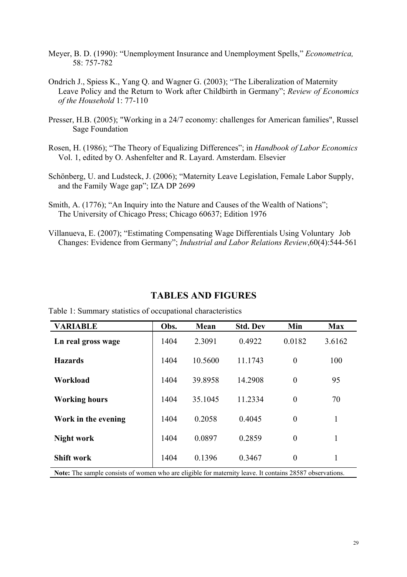- Meyer, B. D. (1990): "Unemployment Insurance and Unemployment Spells," Econometrica, 58: 757-782
- Ondrich J., Spiess K., Yang Q. and Wagner G. (2003); "The Liberalization of Maternity Leave Policy and the Return to Work after Childbirth in Germany"; Review of Economics of the Household 1: 77-110
- Presser, H.B. (2005); "Working in a 24/7 economy: challenges for American families", Russel Sage Foundation
- Rosen, H. (1986); "The Theory of Equalizing Differences"; in Handbook of Labor Economics Vol. 1, edited by O. Ashenfelter and R. Layard. Amsterdam. Elsevier
- Schönberg, U. and Ludsteck, J. (2006); "Maternity Leave Legislation, Female Labor Supply, and the Family Wage gap"; IZA DP 2699
- Smith, A. (1776); "An Inquiry into the Nature and Causes of the Wealth of Nations"; The University of Chicago Press; Chicago 60637; Edition 1976
- Villanueva, E. (2007); "Estimating Compensating Wage Differentials Using Voluntary Job Changes: Evidence from Germany"; Industrial and Labor Relations Review,60(4):544-561

# TABLES AND FIGURES

| <b>VARIABLE</b>                                                                                          | Obs. | Mean    | <b>Std. Dev</b> | Min            | <b>Max</b> |
|----------------------------------------------------------------------------------------------------------|------|---------|-----------------|----------------|------------|
| Ln real gross wage                                                                                       | 1404 | 2.3091  | 0.4922          | 0.0182         | 3.6162     |
| <b>Hazards</b>                                                                                           | 1404 | 10.5600 | 11.1743         | $\overline{0}$ | 100        |
| Workload                                                                                                 | 1404 | 39.8958 | 14.2908         | $\overline{0}$ | 95         |
| <b>Working hours</b>                                                                                     | 1404 | 35.1045 | 11.2334         | $\theta$       | 70         |
| Work in the evening                                                                                      | 1404 | 0.2058  | 0.4045          | $\overline{0}$ | 1          |
| <b>Night work</b>                                                                                        | 1404 | 0.0897  | 0.2859          | $\theta$       | 1          |
| <b>Shift work</b>                                                                                        | 1404 | 0.1396  | 0.3467          | $\theta$       | 1          |
| Note: The sample consists of women who are eligible for maternity leave. It contains 28587 observations. |      |         |                 |                |            |

Table 1: Summary statistics of occupational characteristics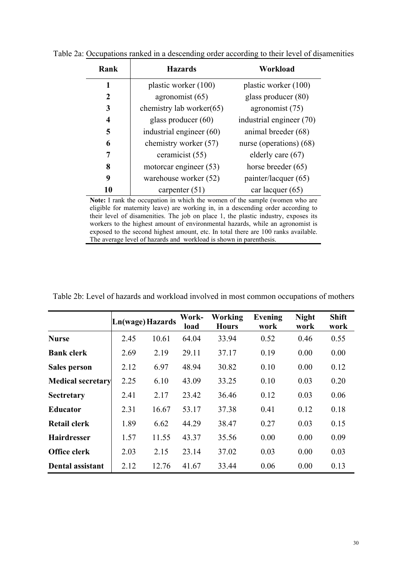| Rank         | <b>Hazards</b>           | Workload                 |
|--------------|--------------------------|--------------------------|
| 1            | plastic worker (100)     | plastic worker (100)     |
| $\mathbf{2}$ | agronomist (65)          | glass producer (80)      |
| 3            | chemistry lab worker(65) | agronomist (75)          |
| 4            | glass producer $(60)$    | industrial engineer (70) |
| 5            | industrial engineer (60) | animal breeder (68)      |
| 6            | chemistry worker (57)    | nurse (operations) (68)  |
| 7            | ceramicist (55)          | elderly care $(67)$      |
| 8            | motorcar engineer (53)   | horse breeder $(65)$     |
| 9            | warehouse worker (52)    | painter/lacquer (65)     |
| 10           | carpenter $(51)$         | car lacquer (65)         |

Table 2a: Occupations ranked in a descending order according to their level of disamenities

Note: I rank the occupation in which the women of the sample (women who are eligible for maternity leave) are working in, in a descending order according to their level of disamenities. The job on place 1, the plastic industry, exposes its workers to the highest amount of environmental hazards, while an agronomist is exposed to the second highest amount, etc. In total there are 100 ranks available. The average level of hazards and workload is shown in parenthesis.

|                          | Ln(wage) Hazards |       | Work-<br>load | Working<br><b>Hours</b> | Evening<br>work | <b>Night</b><br>work | <b>Shift</b><br>work |
|--------------------------|------------------|-------|---------------|-------------------------|-----------------|----------------------|----------------------|
| <b>Nurse</b>             | 2.45             | 10.61 | 64.04         | 33.94                   | 0.52            | 0.46                 | 0.55                 |
| <b>Bank clerk</b>        | 2.69             | 2.19  | 29.11         | 37.17                   | 0.19            | 0.00                 | 0.00                 |
| Sales person             | 2.12             | 6.97  | 48.94         | 30.82                   | 0.10            | 0.00                 | 0.12                 |
| <b>Medical secretary</b> | 2.25             | 6.10  | 43.09         | 33.25                   | 0.10            | 0.03                 | 0.20                 |
| <b>Sectretary</b>        | 2.41             | 2.17  | 23.42         | 36.46                   | 0.12            | 0.03                 | 0.06                 |
| <b>Educator</b>          | 2.31             | 16.67 | 53.17         | 37.38                   | 0.41            | 0.12                 | 0.18                 |
| Retail clerk             | 1.89             | 6.62  | 44.29         | 38.47                   | 0.27            | 0.03                 | 0.15                 |
| <b>Hairdresser</b>       | 1.57             | 11.55 | 43.37         | 35.56                   | 0.00            | 0.00                 | 0.09                 |
| Office clerk             | 2.03             | 2.15  | 23.14         | 37.02                   | 0.03            | 0.00                 | 0.03                 |
| Dental assistant         | 2.12             | 12.76 | 41.67         | 33.44                   | 0.06            | 0.00                 | 0.13                 |

Table 2b: Level of hazards and workload involved in most common occupations of mothers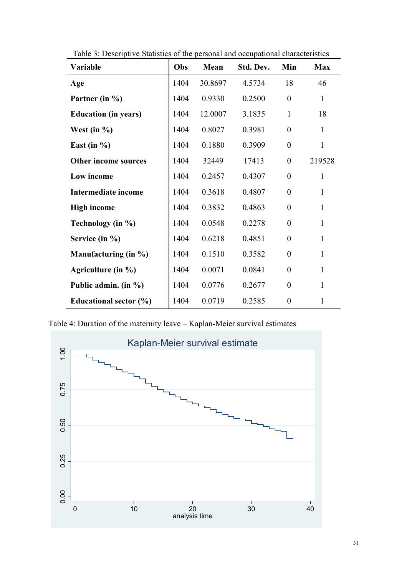| Variable                    | Obs  | Mean    | Std. Dev. | Min              | <b>Max</b>   |
|-----------------------------|------|---------|-----------|------------------|--------------|
| Age                         | 1404 | 30.8697 | 4.5734    | 18               | 46           |
| Partner (in %)              | 1404 | 0.9330  | 0.2500    | $\overline{0}$   | $\mathbf{1}$ |
| <b>Education (in years)</b> | 1404 | 12.0007 | 3.1835    | $\mathbf{1}$     | 18           |
| West (in $\%$ )             | 1404 | 0.8027  | 0.3981    | $\theta$         | $\mathbf{1}$ |
| East (in $\%$ )             | 1404 | 0.1880  | 0.3909    | $\theta$         | $\mathbf{1}$ |
| Other income sources        | 1404 | 32449   | 17413     | $\overline{0}$   | 219528       |
| Low income                  | 1404 | 0.2457  | 0.4307    | $\theta$         | $\mathbf{1}$ |
| <b>Intermediate income</b>  | 1404 | 0.3618  | 0.4807    | $\theta$         | $\mathbf{1}$ |
| <b>High income</b>          | 1404 | 0.3832  | 0.4863    | $\overline{0}$   | $\mathbf{1}$ |
| Technology (in %)           | 1404 | 0.0548  | 0.2278    | $\theta$         | $\mathbf{1}$ |
| Service (in %)              | 1404 | 0.6218  | 0.4851    | $\theta$         | $\mathbf{1}$ |
| Manufacturing (in %)        | 1404 | 0.1510  | 0.3582    | $\overline{0}$   | $\mathbf{1}$ |
| Agriculture (in %)          | 1404 | 0.0071  | 0.0841    | $\theta$         | $\mathbf{1}$ |
| Public admin. (in %)        | 1404 | 0.0776  | 0.2677    | $\theta$         | $\mathbf{1}$ |
| Educational sector (%)      | 1404 | 0.0719  | 0.2585    | $\boldsymbol{0}$ | $\mathbf{1}$ |

Table 3: Descriptive Statistics of the personal and occupational characteristics

Table 4: Duration of the maternity leave – Kaplan-Meier survival estimates

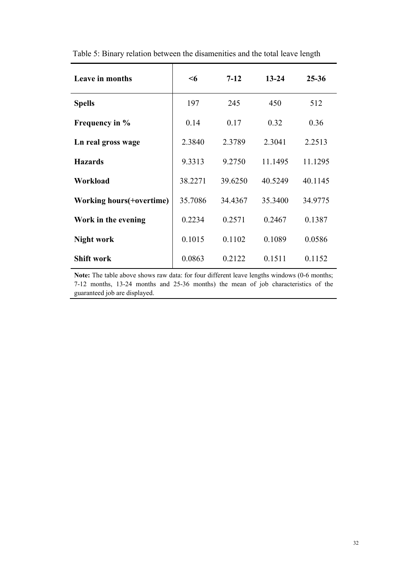| Leave in months                   | $\leq 6$ | $7 - 12$ | $13 - 24$ | $25 - 36$ |
|-----------------------------------|----------|----------|-----------|-----------|
| <b>Spells</b>                     | 197      | 245      | 450       | 512       |
| Frequency in %                    | 0.14     | 0.17     | 0.32      | 0.36      |
| Ln real gross wage                | 2.3840   | 2.3789   | 2.3041    | 2.2513    |
| <b>Hazards</b>                    | 9.3313   | 9.2750   | 11.1495   | 11.1295   |
| Workload                          | 38.2271  | 39.6250  | 40.5249   | 40.1145   |
| <b>Working hours</b> (+ overtime) | 35.7086  | 34.4367  | 35.3400   | 34.9775   |
| Work in the evening               | 0.2234   | 0.2571   | 0.2467    | 0.1387    |
| <b>Night work</b>                 | 0.1015   | 0.1102   | 0.1089    | 0.0586    |
| <b>Shift work</b>                 | 0.0863   | 0.2122   | 0.1511    | 0.1152    |

Table 5: Binary relation between the disamenities and the total leave length

Note: The table above shows raw data: for four different leave lengths windows (0-6 months; 7-12 months, 13-24 months and 25-36 months) the mean of job characteristics of the guaranteed job are displayed.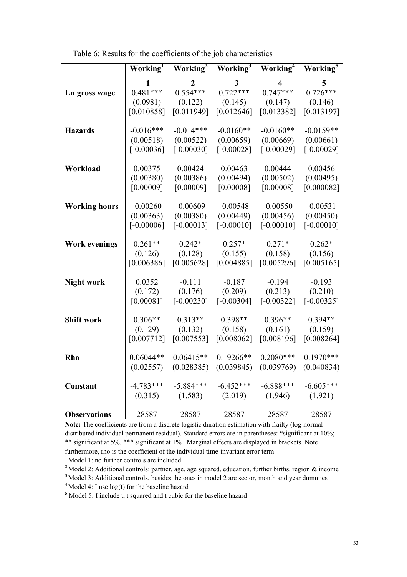|                      | Working <sup>1</sup> | Working <sup>2</sup> | Working <sup>3</sup>    | Working <sup>4</sup> | Working <sup>5</sup> |
|----------------------|----------------------|----------------------|-------------------------|----------------------|----------------------|
|                      | 1                    | $\overline{2}$       | $\overline{\mathbf{3}}$ | 4                    | 5                    |
| Ln gross wage        | $0.481***$           | $0.554***$           | $0.722***$              | $0.747***$           | $0.726***$           |
|                      | (0.0981)             | (0.122)              | (0.145)                 | (0.147)              | (0.146)              |
|                      | [0.010858]           | [0.011949]           | [0.012646]              | [0.013382]           | [0.013197]           |
|                      |                      |                      |                         |                      |                      |
| <b>Hazards</b>       | $-0.016***$          | $-0.014***$          | $-0.0160**$             | $-0.0160**$          | $-0.0159**$          |
|                      | (0.00518)            | (0.00522)            | (0.00659)               | (0.00669)            | (0.00661)            |
|                      | $[-0.00036]$         | $[-0.00030]$         | $[-0.00028]$            | $[-0.00029]$         | $[-0.00029]$         |
|                      |                      |                      |                         |                      |                      |
| Workload             | 0.00375              | 0.00424              | 0.00463                 | 0.00444              | 0.00456              |
|                      | (0.00380)            | (0.00386)            | (0.00494)               | (0.00502)            | (0.00495)            |
|                      | [0.00009]            | [0.00009]            | [0.00008]               | [0.00008]            | [0.000082]           |
|                      |                      |                      |                         |                      |                      |
| <b>Working hours</b> | $-0.00260$           | $-0.00609$           | $-0.00548$              | $-0.00550$           | $-0.00531$           |
|                      | (0.00363)            | (0.00380)            | (0.00449)               | (0.00456)            | (0.00450)            |
|                      | $[-0.00006]$         | $[-0.00013]$         | $[-0.00010]$            | $[-0.00010]$         | $[-0.00010]$         |
|                      |                      |                      |                         |                      |                      |
| <b>Work evenings</b> | $0.261**$            | $0.242*$             | $0.257*$                | $0.271*$             | $0.262*$             |
|                      | (0.126)              | (0.128)              | (0.155)                 | (0.158)              | (0.156)              |
|                      | [0.006386]           | [0.005628]           | [0.004885]              | [0.005296]           | [0.005165]           |
| <b>Night work</b>    | 0.0352               | $-0.111$             | $-0.187$                | $-0.194$             | $-0.193$             |
|                      | (0.172)              | (0.176)              | (0.209)                 | (0.213)              | (0.210)              |
|                      | [0.00081]            | $[-0.00230]$         | $[-0.00304]$            | $[-0.00322]$         | $[-0.00325]$         |
|                      |                      |                      |                         |                      |                      |
| <b>Shift work</b>    | $0.306**$            | $0.313**$            | 0.398**                 | $0.396**$            | $0.394**$            |
|                      | (0.129)              | (0.132)              | (0.158)                 | (0.161)              | (0.159)              |
|                      | [0.007712]           | [0.007553]           | [0.008062]              | [0.008196]           | [0.008264]           |
|                      |                      |                      |                         |                      |                      |
| Rho                  | $0.06044**$          | $0.06415**$          | $0.19266**$             | $0.2080***$          | $0.1970***$          |
|                      | (0.02557)            | (0.028385)           | (0.039845)              | (0.039769)           | (0.040834)           |
|                      |                      |                      |                         |                      |                      |
| Constant             | $-4.783***$          | $-5.884***$          | $-6.452***$             | $-6.888***$          | $-6.605***$          |
|                      | (0.315)              | (1.583)              | (2.019)                 | (1.946)              | (1.921)              |
|                      |                      |                      |                         |                      |                      |
| <b>Observations</b>  | 28587                | 28587                | 28587                   | 28587                | 28587                |

Table 6: Results for the coefficients of the job characteristics

Note: The coefficients are from a discrete logistic duration estimation with frailty (log-normal distributed individual permanent residual). Standard errors are in parentheses: \*significant at 10%; \*\* significant at 5%, \*\*\* significant at 1% . Marginal effects are displayed in brackets. Note furthermore, rho is the coefficient of the individual time-invariant error term.

<sup>1</sup> Model 1: no further controls are included

<sup>2</sup> Model 2: Additional controls: partner, age, age squared, education, further births, region & income

<sup>3</sup> Model 3: Additional controls, besides the ones in model 2 are sector, month and year dummies

<sup>4</sup>Model 4: I use log(t) for the baseline hazard

5 Model 5: I include t, t squared and t cubic for the baseline hazard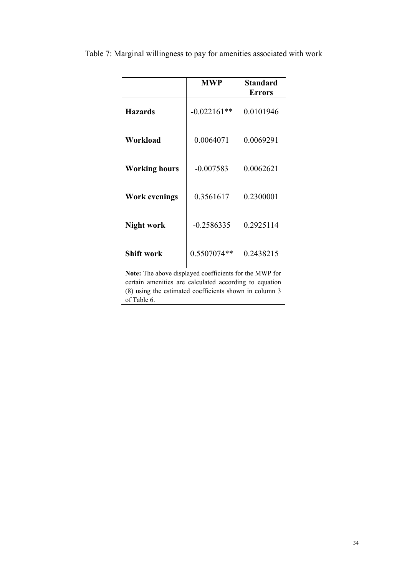|                      | <b>MWP</b>    | <b>Standard</b><br><b>Errors</b> |
|----------------------|---------------|----------------------------------|
| <b>Hazards</b>       | $-0.022161**$ | 0.0101946                        |
| Workload             | 0.0064071     | 0.0069291                        |
| <b>Working hours</b> | $-0.007583$   | 0.0062621                        |
| <b>Work evenings</b> | 0.3561617     | 0.2300001                        |
| Night work           | $-0.2586335$  | 0.2925114                        |
| Shift work           | 0.5507074**   | 0.2438215                        |

Table 7: Marginal willingness to pay for amenities associated with work

Note: The above displayed coefficients for the MWP for certain amenities are calculated according to equation (8) using the estimated coefficients shown in column 3 of Table 6.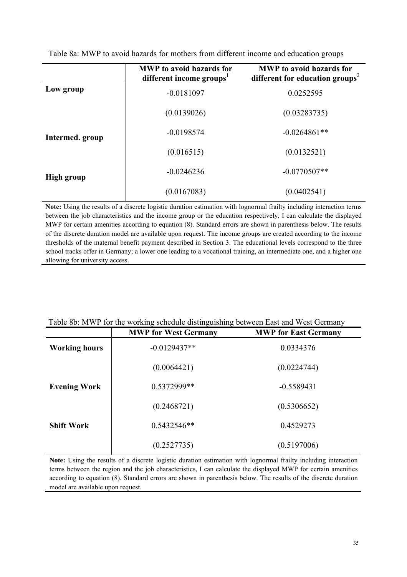|                   | <b>MWP</b> to avoid hazards for<br>different income groups <sup>1</sup> | <b>MWP</b> to avoid hazards for<br>different for education groups <sup>2</sup> |
|-------------------|-------------------------------------------------------------------------|--------------------------------------------------------------------------------|
| Low group         | $-0.0181097$                                                            | 0.0252595                                                                      |
|                   | (0.0139026)                                                             | (0.03283735)                                                                   |
| Intermed. group   | $-0.0198574$                                                            | $-0.0264861**$                                                                 |
|                   | (0.016515)                                                              | (0.0132521)                                                                    |
| <b>High group</b> | $-0.0246236$                                                            | $-0.0770507**$                                                                 |
|                   | (0.0167083)                                                             | (0.0402541)                                                                    |

Table 8a: MWP to avoid hazards for mothers from different income and education groups

Note: Using the results of a discrete logistic duration estimation with lognormal frailty including interaction terms between the job characteristics and the income group or the education respectively, I can calculate the displayed MWP for certain amenities according to equation (8). Standard errors are shown in parenthesis below. The results of the discrete duration model are available upon request. The income groups are created according to the income thresholds of the maternal benefit payment described in Section 3. The educational levels correspond to the three school tracks offer in Germany; a lower one leading to a vocational training, an intermediate one, and a higher one allowing for university access.

|                      | ╺<br>-0<br>0<br><b>MWP for West Germany</b> | <b>MWP</b> for East Germany |
|----------------------|---------------------------------------------|-----------------------------|
| <b>Working hours</b> | $-0.0129437**$                              | 0.0334376                   |
|                      | (0.0064421)                                 | (0.0224744)                 |
| <b>Evening Work</b>  | 0.5372999**                                 | $-0.5589431$                |
|                      | (0.2468721)                                 | (0.5306652)                 |
| <b>Shift Work</b>    | $0.5432546**$                               | 0.4529273                   |
|                      | (0.2527735)                                 | (0.5197006)                 |

#### Table 8b: MWP for the working schedule distinguishing between East and West Germany

Note: Using the results of a discrete logistic duration estimation with lognormal frailty including interaction terms between the region and the job characteristics, I can calculate the displayed MWP for certain amenities according to equation (8). Standard errors are shown in parenthesis below. The results of the discrete duration model are available upon request.